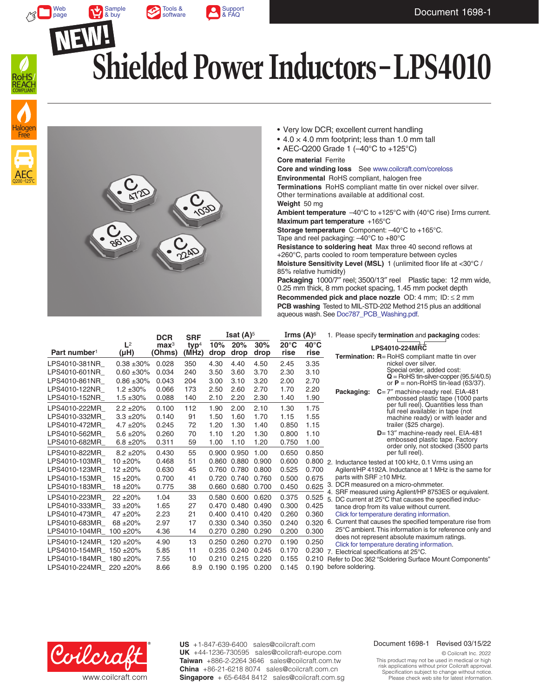

[Sample](https://www.coilcraft.com/en-us/products/power/shielded-inductors/ferrite-drum/lps/lps4010/#table) & buy





Web [page](https://www.coilcraft.com/en-us/products/power/shielded-inductors/ferrite-drum/lps/lps4010/)

# **Shielded Power Inductors – LPS4010**





- Very low DCR; excellent current handling
- $\cdot$  4.0  $\times$  4.0 mm footprint; less than 1.0 mm tall
- AEC-Q200 Grade 1 (–40°C to +125°C)

**Core material** Ferrite

**Core and winding loss** See [www.coilcraft.com/coreloss](http://www.coilcraft.com/coreloss)

**Environmental** RoHS compliant, halogen free **Terminations** RoHS compliant matte tin over nickel over silver. Other terminations available at additional cost. **Weight** 50 mg

**Ambient temperature**  $-40^{\circ}$ C to  $+125^{\circ}$ C with (40°C rise) Irms current. **Maximum part temperature** +165°C

**Storage temperature** Component: –40°C to +165°C. Tape and reel packaging: –40°C to +80°C

**Resistance to soldering heat** Max three 40 second reflows at +260°C, parts cooled to room temperature between cycles **Moisture Sensitivity Level (MSL)** 1 (unlimited floor life at <30°C / 85% relative humidity)

**Packaging** 1000/7″ reel; 3500/13″ reel Plastic tape: 12 mm wide, 0.25 mm thick, 8 mm pocket spacing, 1.45 mm pocket depth **Recommended pick and place nozzle** OD: 4 mm; ID: ≤ 2 mm **PCB washing** Tested to MIL-STD-202 Method 215 plus an additional aqueous wash. See [Doc787\\_PCB\\_Washing.pdf](http://www.coilcraft.com/pdfs/Doc787_PCB_Washing.pdf).

|                          |                    | <b>DCR</b>                 | <b>SRF</b>                | <b>Isat <math>(A)^5</math></b> |             | Irms $(A)^6$ |                        | 1. Please specify termination and packaging codes: |                                                                                                                  |
|--------------------------|--------------------|----------------------------|---------------------------|--------------------------------|-------------|--------------|------------------------|----------------------------------------------------|------------------------------------------------------------------------------------------------------------------|
| Part number <sup>1</sup> | $L^2$<br>$(\mu H)$ | $\mathbf{max}^3$<br>(Ohms) | tvp <sup>4</sup><br>(MHz) | 10%<br>drop                    | 20%<br>drop | 30%<br>drop  | $20^{\circ}$ C<br>rise | $40^{\circ}$ C<br>rise                             | LPS4010-224MRC                                                                                                   |
| LPS4010-381NR            | $0.38 + 30\%$      | 0.028                      | 350                       | 4.30                           | 4.40        | 4.50         | 2.45                   | 3.35                                               | <b>Termination: R</b> =RoHS compliant matte tin over<br>nickel over silver.                                      |
| LPS4010-601NR            | $0.60 + 30%$       | 0.034                      | 240                       | 3.50                           | 3.60        | 3.70         | 2.30                   | 3.10                                               | Special order, added cost:                                                                                       |
| LPS4010-861NR            | $0.86 + 30%$       | 0.043                      | 204                       | 3.00                           | 3.10        | 3.20         | 2.00                   | 2.70                                               | $\mathbf{Q}$ = RoHS tin-silver-copper (95.5/4/0.5)<br>or $P =$ non-RoHS tin-lead (63/37).                        |
| LPS4010-122NR            | $1.2 \pm 30\%$     | 0.066                      | 173                       | 2.50                           | 2.60        | 2.70         | 1.70                   | 2.20                                               | $C = 7$ " machine-ready reel. EIA-481<br>Packaging:                                                              |
| LPS4010-152NR            | $1.5 \pm 30\%$     | 0.088                      | 140                       | 2.10                           | 2.20        | 2.30         | 1.40                   | 1.90                                               | embossed plastic tape (1000 parts                                                                                |
| LPS4010-222MR            | $2.2 \pm 20\%$     | 0.100                      | 112                       | 1.90                           | 2.00        | 2.10         | 1.30                   | 1.75                                               | per full reel). Quantities less than<br>full reel available: in tape (not                                        |
| LPS4010-332MR            | $3.3 + 20%$        | 0.140                      | 91                        | 1.50                           | 1.60        | 1.70         | 1.15                   | 1.55                                               | machine ready) or with leader and                                                                                |
| LPS4010-472MR            | $4.7 \pm 20\%$     | 0.245                      | 72                        | 1.20                           | 1.30        | 1.40         | 0.850                  | 1.15                                               | trailer (\$25 charge).                                                                                           |
| LPS4010-562MR            | $5.6 \pm 20\%$     | 0.260                      | 70                        | 1.10                           | 1.20        | 1.30         | 0.800                  | 1.10                                               | D=13" machine-ready reel. EIA-481                                                                                |
| LPS4010-682MR            | $6.8 \pm 20\%$     | 0.311                      | 59                        | 1.00                           | 1.10        | 1.20         | 0.750                  | 1.00                                               | embossed plastic tape. Factory<br>order only, not stocked (3500 parts                                            |
| LPS4010-822MR            | $8.2 + 20%$        | 0.430                      | 55                        |                                | 0.900 0.950 | 1.00         | 0.650                  | 0.850                                              | per full reel).                                                                                                  |
| LPS4010-103MR            | $10 + 20%$         | 0.468                      | 51                        | 0.860                          | 0.880       | 0.900        | 0.600                  |                                                    | 0.800 2. Inductance tested at 100 kHz, 0.1 Vrms using an                                                         |
| LPS4010-123MR            | $12 + 20%$         | 0.630                      | 45                        |                                | 0.760 0.780 | 0.800        | 0.525                  | 0.700                                              | Agilent/HP 4192A. Inductance at 1 MHz is the same for                                                            |
| LPS4010-153MR            | $15 + 20%$         | 0.700                      | 41                        | 0.720                          | 0.740       | 0.760        | 0.500                  | 0.675                                              | parts with SRF $\geq$ 10 MHz.                                                                                    |
| LPS4010-183MR            | $18 + 20%$         | 0.775                      | 38                        | 0.660                          | 0.680       | 0.700        | 0.450                  | 0.625                                              | 3. DCR measured on a micro-ohmmeter.                                                                             |
| LPS4010-223MR            | $22 + 20%$         | 1.04                       | 33                        | 0.580                          | 0.600       | 0.620        | 0.375                  | 0.525                                              | 4. SRF measured using Agilent/HP 8753ES or equivalent.<br>5. DC current at 25°C that causes the specified induc- |
| LPS4010-333MR            | $33 + 20%$         | 1.65                       | 27                        |                                | 0.470 0.480 | 0.490        | 0.300                  | 0.425                                              | tance drop from its value without current.                                                                       |
| LPS4010-473MR            | $47 + 20%$         | 2.23                       | 21                        |                                | 0.400 0.410 | 0.420        | 0.260                  | 0.360                                              | Click for temperature derating information.                                                                      |
| LPS4010-683MR            | $68 + 20%$         | 2.97                       | 17                        |                                | 0.330 0.340 | 0.350        | 0.240                  | $0.320$ 6.                                         | Current that causes the specified temperature rise from                                                          |
| LPS4010-104MR 100 ±20%   |                    | 4.36                       | 14                        |                                | 0.270 0.280 | 0.290        | 0.200                  | 0.300                                              | 25°C ambient. This information is for reference only and                                                         |
| LPS4010-124MR 120 ±20%   |                    | 4.90                       | 13                        |                                | 0.250 0.260 | 0.270        | 0.190                  | 0.250                                              | does not represent absolute maximum ratings.<br>Click for temperature derating information.                      |
| LPS4010-154MR 150 ±20%   |                    | 5.85                       | 11                        | 0.235                          | 0.240       | 0.245        | 0.170                  | 0.230                                              | 7. Electrical specifications at 25°C.                                                                            |
| LPS4010-184MR 180 ±20%   |                    | 7.55                       | 10                        | 0.210                          | 0.215       | 0.220        | 0.155                  | 0.210                                              | Refer to Doc 362 "Soldering Surface Mount Components"                                                            |
| LPS4010-224MR 220 ±20%   |                    | 8.66                       | 8.9                       |                                | 0.190 0.195 | 0.200        | 0.145                  |                                                    | 0.190 before soldering.                                                                                          |



**US** +1-847-639-6400 sales@coilcraft.com **UK** +44-1236-730595 sales@coilcraft-europe.com **Taiwan** +886-2-2264 3646 sales@coilcraft.com.tw **China** +86-21-6218 8074 sales@coilcraft.com.cn **Singapore** + 65-6484 8412 sales@coilcraft.com.sg

#### Document 1698-1 Revised 03/15/22

© Coilcraft Inc. 2022 This product may not be used in medical or high risk applications without prior Coilcraft approval. Specification subject to change without notice. Please check web site for latest information.